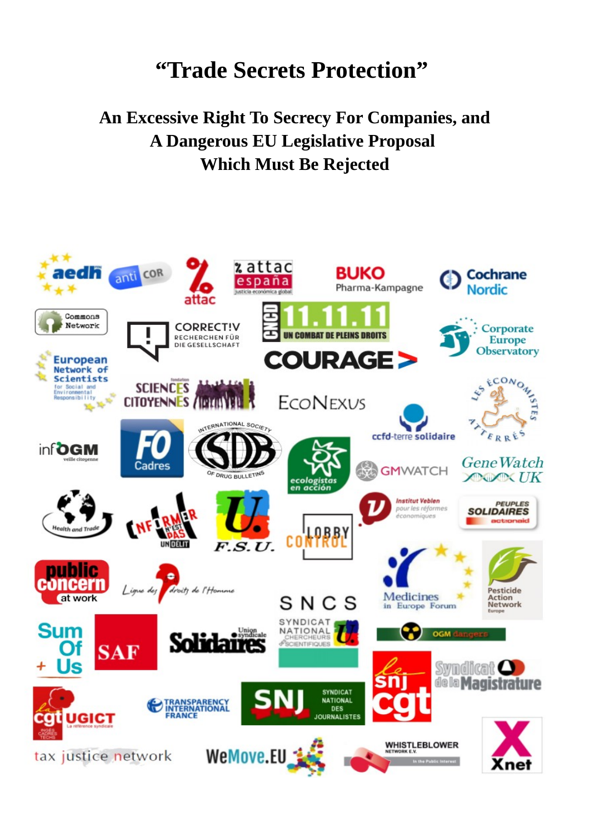# **"Trade Secrets Protection"**

## **An Excessive Right To Secrecy For Companies, and A Dangerous EU Legislative Proposal Which Must Be Rejected**

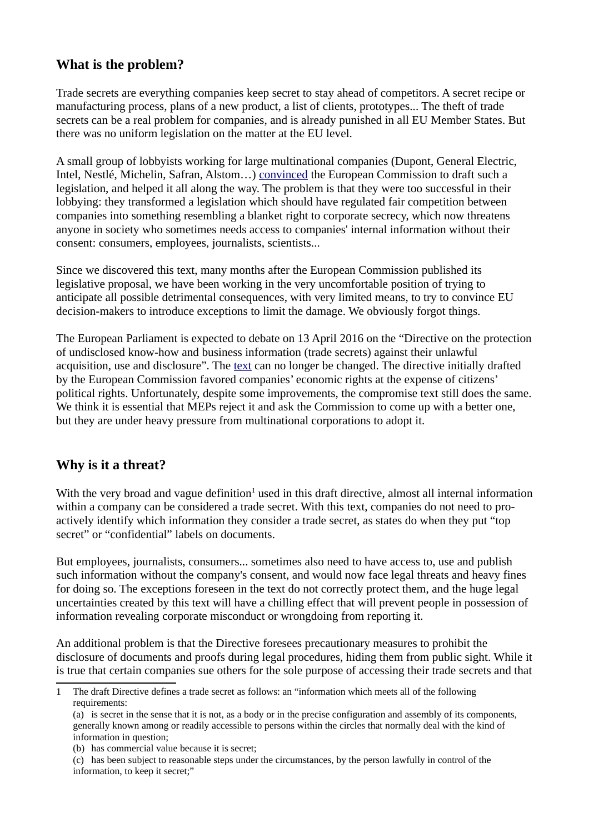## **What is the problem?**

Trade secrets are everything companies keep secret to stay ahead of competitors. A secret recipe or manufacturing process, plans of a new product, a list of clients, prototypes... The theft of trade secrets can be a real problem for companies, and is already punished in all EU Member States. But there was no uniform legislation on the matter at the EU level.

A small group of lobbyists working for large multinational companies (Dupont, General Electric, Intel, Nestlé, Michelin, Safran, Alstom…) [convinced](http://corporateeurope.org/power-lobbies/2015/04/towards-legalised-corporate-secrecy-eu) the European Commission to draft such a legislation, and helped it all along the way. The problem is that they were too successful in their lobbying: they transformed a legislation which should have regulated fair competition between companies into something resembling a blanket right to corporate secrecy, which now threatens anyone in society who sometimes needs access to companies' internal information without their consent: consumers, employees, journalists, scientists...

Since we discovered this text, many months after the European Commission published its legislative proposal, we have been working in the very uncomfortable position of trying to anticipate all possible detrimental consequences, with very limited means, to try to convince EU decision-makers to introduce exceptions to limit the damage. We obviously forgot things.

The European Parliament is expected to debate on 13 April 2016 on the "Directive on the protection of undisclosed know-how and business information (trade secrets) against their unlawful acquisition, use and disclosure". The [text](http://www.emeeting.europarl.europa.eu/committees/download.do?docUrl=http://www.europarl.europa.eu/meetdocs/2014_2019/plmrep/COMMITTEES/JURI/DV/2016/01-28/sn01019_EN.pdf) can no longer be changed. The directive initially drafted by the European Commission favored companies' economic rights at the expense of citizens' political rights. Unfortunately, despite some improvements, the compromise text still does the same. We think it is essential that MEPs reject it and ask the Commission to come up with a better one, but they are under heavy pressure from multinational corporations to adopt it.

## **Why is it a threat?**

With the very broad and vague definition<sup>[1](#page-1-0)</sup> used in this draft directive, almost all internal information within a company can be considered a trade secret. With this text, companies do not need to proactively identify which information they consider a trade secret, as states do when they put "top secret" or "confidential" labels on documents.

But employees, journalists, consumers... sometimes also need to have access to, use and publish such information without the company's consent, and would now face legal threats and heavy fines for doing so. The exceptions foreseen in the text do not correctly protect them, and the huge legal uncertainties created by this text will have a chilling effect that will prevent people in possession of information revealing corporate misconduct or wrongdoing from reporting it.

An additional problem is that the Directive foresees precautionary measures to prohibit the disclosure of documents and proofs during legal procedures, hiding them from public sight. While it is true that certain companies sue others for the sole purpose of accessing their trade secrets and that

<span id="page-1-0"></span><sup>1</sup> The draft Directive defines a trade secret as follows: an "information which meets all of the following requirements:

<sup>(</sup>a) is secret in the sense that it is not, as a body or in the precise configuration and assembly of its components, generally known among or readily accessible to persons within the circles that normally deal with the kind of information in question;

<sup>(</sup>b) has commercial value because it is secret;

<sup>(</sup>c) has been subject to reasonable steps under the circumstances, by the person lawfully in control of the information, to keep it secret;"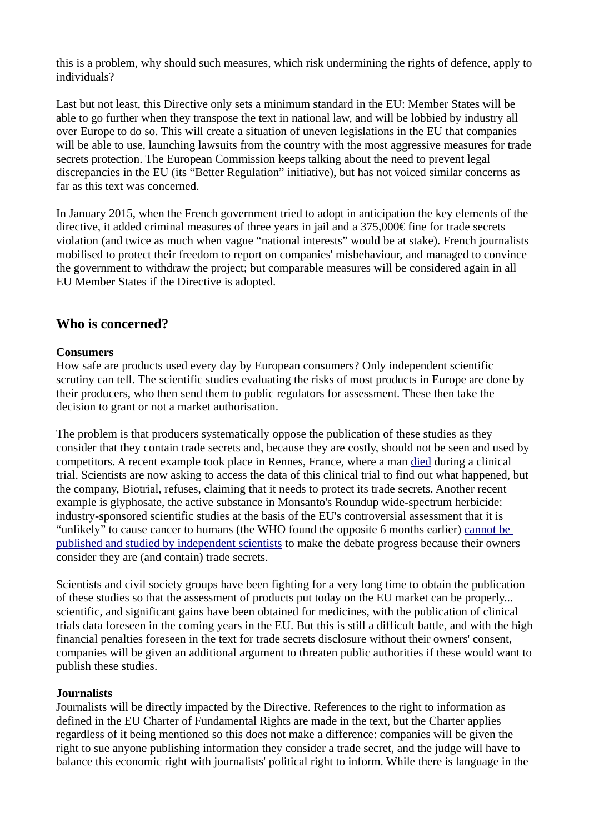this is a problem, why should such measures, which risk undermining the rights of defence, apply to individuals?

Last but not least, this Directive only sets a minimum standard in the EU: Member States will be able to go further when they transpose the text in national law, and will be lobbied by industry all over Europe to do so. This will create a situation of uneven legislations in the EU that companies will be able to use, launching lawsuits from the country with the most aggressive measures for trade secrets protection. The European Commission keeps talking about the need to prevent legal discrepancies in the EU (its "Better Regulation" initiative), but has not voiced similar concerns as far as this text was concerned.

In January 2015, when the French government tried to adopt in anticipation the key elements of the directive, it added criminal measures of three years in jail and a 375,000€ fine for trade secrets violation (and twice as much when vague "national interests" would be at stake). French journalists mobilised to protect their freedom to report on companies' misbehaviour, and managed to convince the government to withdraw the project; but comparable measures will be considered again in all EU Member States if the Directive is adopted.

## **Who is concerned?**

#### **Consumers**

How safe are products used every day by European consumers? Only independent scientific scrutiny can tell. The scientific studies evaluating the risks of most products in Europe are done by their producers, who then send them to public regulators for assessment. These then take the decision to grant or not a market authorisation.

The problem is that producers systematically oppose the publication of these studies as they consider that they contain trade secrets and, because they are costly, should not be seen and used by competitors. A recent example took place in Rennes, France, where a man [died](https://www.mediapart.fr/journal/international/250116/essai-clinique-de-rennes-des-scientifiques-reclament-la-transparence) during a clinical trial. Scientists are now asking to access the data of this clinical trial to find out what happened, but the company, Biotrial, refuses, claiming that it needs to protect its trade secrets. Another recent example is glyphosate, the active substance in Monsanto's Roundup wide-spectrum herbicide: industry-sponsored scientific studies at the basis of the EU's controversial assessment that it is "unlikely" to cause cancer to humans (the WHO found the opposite 6 months earlier) [cannot be](http://corporateeurope.org/efsa/2016/02/key-evidence-withheld-trade-secret-eus-controversial-risk-assessment-glyphosate)  [published and studied by independent scientists](http://corporateeurope.org/efsa/2016/02/key-evidence-withheld-trade-secret-eus-controversial-risk-assessment-glyphosate) to make the debate progress because their owners consider they are (and contain) trade secrets.

Scientists and civil society groups have been fighting for a very long time to obtain the publication of these studies so that the assessment of products put today on the EU market can be properly... scientific, and significant gains have been obtained for medicines, with the publication of clinical trials data foreseen in the coming years in the EU. But this is still a difficult battle, and with the high financial penalties foreseen in the text for trade secrets disclosure without their owners' consent, companies will be given an additional argument to threaten public authorities if these would want to publish these studies.

#### **Journalists**

Journalists will be directly impacted by the Directive. References to the right to information as defined in the EU Charter of Fundamental Rights are made in the text, but the Charter applies regardless of it being mentioned so this does not make a difference: companies will be given the right to sue anyone publishing information they consider a trade secret, and the judge will have to balance this economic right with journalists' political right to inform. While there is language in the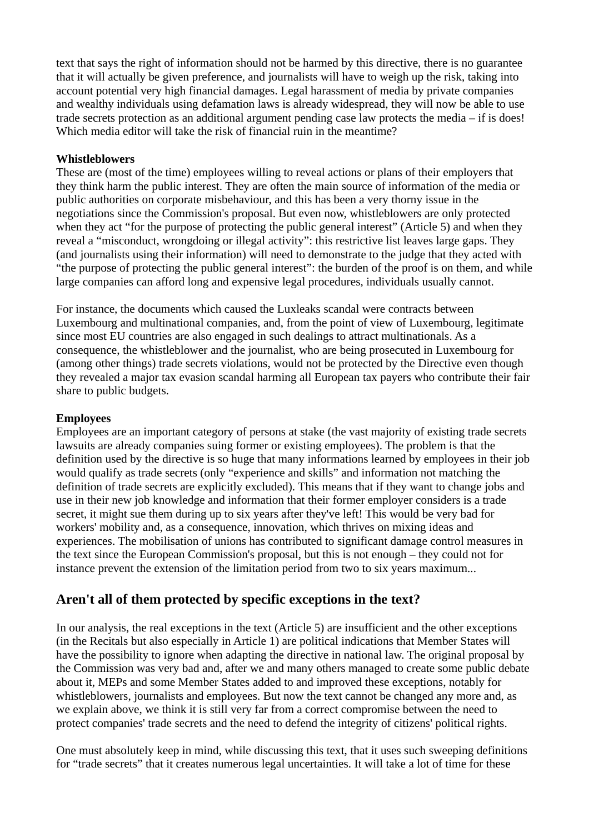text that says the right of information should not be harmed by this directive, there is no guarantee that it will actually be given preference, and journalists will have to weigh up the risk, taking into account potential very high financial damages. Legal harassment of media by private companies and wealthy individuals using defamation laws is already widespread, they will now be able to use trade secrets protection as an additional argument pending case law protects the media – if is does! Which media editor will take the risk of financial ruin in the meantime?

#### **Whistleblowers**

These are (most of the time) employees willing to reveal actions or plans of their employers that they think harm the public interest. They are often the main source of information of the media or public authorities on corporate misbehaviour, and this has been a very thorny issue in the negotiations since the Commission's proposal. But even now, whistleblowers are only protected when they act "for the purpose of protecting the public general interest" (Article 5) and when they reveal a "misconduct, wrongdoing or illegal activity": this restrictive list leaves large gaps. They (and journalists using their information) will need to demonstrate to the judge that they acted with "the purpose of protecting the public general interest": the burden of the proof is on them, and while large companies can afford long and expensive legal procedures, individuals usually cannot.

For instance, the documents which caused the Luxleaks scandal were contracts between Luxembourg and multinational companies, and, from the point of view of Luxembourg, legitimate since most EU countries are also engaged in such dealings to attract multinationals. As a consequence, the whistleblower and the journalist, who are being prosecuted in Luxembourg for (among other things) trade secrets violations, would not be protected by the Directive even though they revealed a major tax evasion scandal harming all European tax payers who contribute their fair share to public budgets.

#### **Employees**

Employees are an important category of persons at stake (the vast majority of existing trade secrets lawsuits are already companies suing former or existing employees). The problem is that the definition used by the directive is so huge that many informations learned by employees in their job would qualify as trade secrets (only "experience and skills" and information not matching the definition of trade secrets are explicitly excluded). This means that if they want to change jobs and use in their new job knowledge and information that their former employer considers is a trade secret, it might sue them during up to six years after they've left! This would be very bad for workers' mobility and, as a consequence, innovation, which thrives on mixing ideas and experiences. The mobilisation of unions has contributed to significant damage control measures in the text since the European Commission's proposal, but this is not enough – they could not for instance prevent the extension of the limitation period from two to six years maximum...

## **Aren't all of them protected by specific exceptions in the text?**

In our analysis, the real exceptions in the text (Article 5) are insufficient and the other exceptions (in the Recitals but also especially in Article 1) are political indications that Member States will have the possibility to ignore when adapting the directive in national law. The original proposal by the Commission was very bad and, after we and many others managed to create some public debate about it, MEPs and some Member States added to and improved these exceptions, notably for whistleblowers, journalists and employees. But now the text cannot be changed any more and, as we explain above, we think it is still very far from a correct compromise between the need to protect companies' trade secrets and the need to defend the integrity of citizens' political rights.

One must absolutely keep in mind, while discussing this text, that it uses such sweeping definitions for "trade secrets" that it creates numerous legal uncertainties. It will take a lot of time for these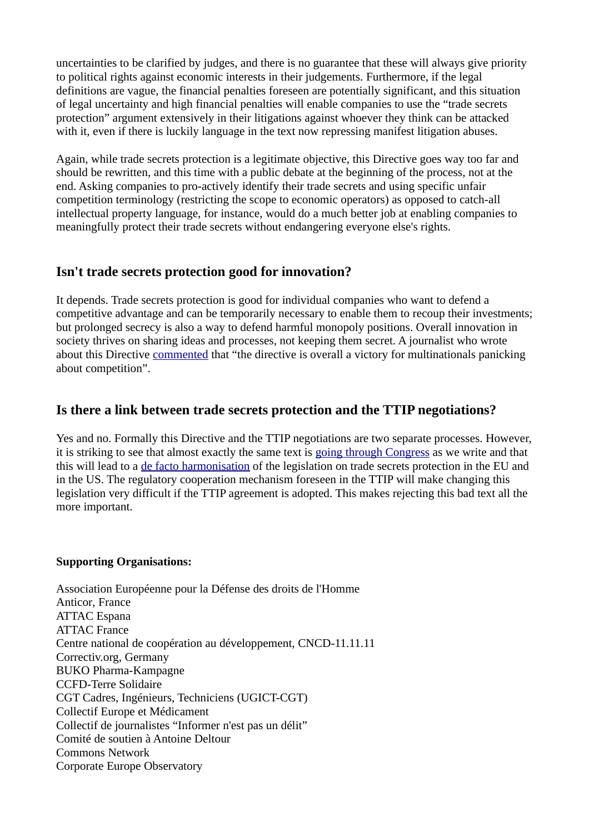uncertainties to be clarified by judges, and there is no guarantee that these will always give priority to political rights against economic interests in their judgements. Furthermore, if the legal definitions are vague, the financial penalties foreseen are potentially significant, and this situation of legal uncertainty and high financial penalties will enable companies to use the "trade secrets protection" argument extensively in their litigations against whoever they think can be attacked with it, even if there is luckily language in the text now repressing manifest litigation abuses.

Again, while trade secrets protection is a legitimate objective, this Directive goes way too far and should be rewritten, and this time with a public debate at the beginning of the process, not at the end. Asking companies to pro-actively identify their trade secrets and using specific unfair competition terminology (restricting the scope to economic operators) as opposed to catch-all intellectual property language, for instance, would do a much better job at enabling companies to meaningfully protect their trade secrets without endangering everyone else's rights.

## **Isn't trade secrets protection good for innovation?**

It depends. Trade secrets protection is good for individual companies who want to defend a competitive advantage and can be temporarily necessary to enable them to recoup their investments; but prolonged secrecy is also a way to defend harmful monopoly positions. Overall innovation in society thrives on sharing ideas and processes, not keeping them secret. A journalist who wrote about this Directive [commented](http://www.telesurtv.net/english/analysis/EU-Boosts-Another-Anti-Sharing-Economy-Trade-Secrets-Hoarders-20160130-0002.html) that "the directive is overall a victory for multinationals panicking about competition".

## **Is there a link between trade secrets protection and the TTIP negotiations?**

Yes and no. Formally this Directive and the TTIP negotiations are two separate processes. However, it is striking to see that almost exactly the same text is [going through Congress](https://www.congress.gov/bill/114th-congress/senate-bill/1890/text) as we write and that this will lead to a [de facto harmonisation](http://keionline.org/node/2281) of the legislation on trade secrets protection in the EU and in the US. The regulatory cooperation mechanism foreseen in the TTIP will make changing this legislation very difficult if the TTIP agreement is adopted. This makes rejecting this bad text all the more important.

#### **Supporting Organisations:**

Association Européenne pour la Défense des droits de l'Homme Anticor, France ATTAC Espana ATTAC France Centre national de coopération au développement, CNCD-11.11.11 Correctiv.org, Germany BUKO Pharma-Kampagne CCFD-Terre Solidaire CGT Cadres, Ingénieurs, Techniciens (UGICT-CGT) Collectif Europe et Médicament Collectif de journalistes "Informer n'est pas un délit" Comité de soutien à Antoine Deltour Commons Network Corporate Europe Observatory